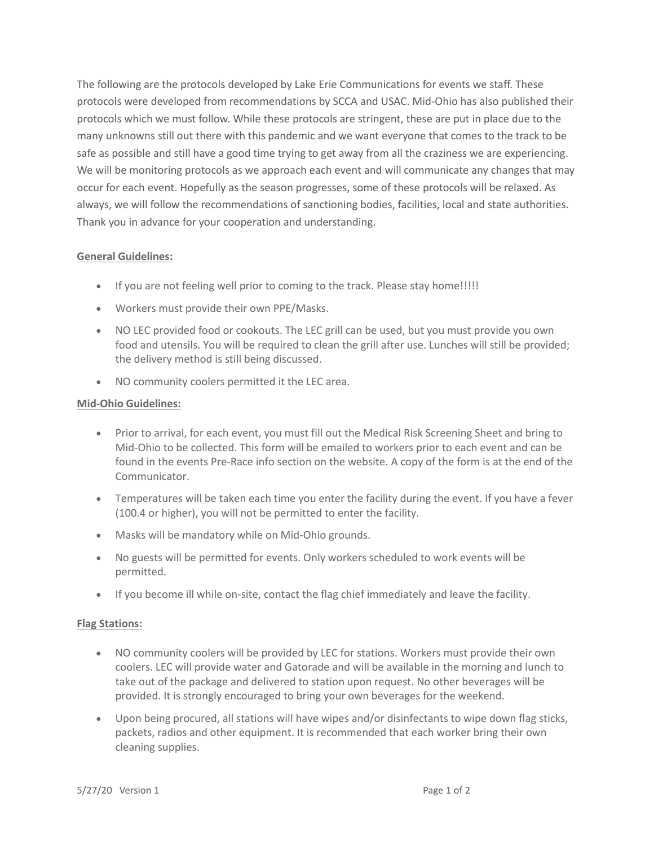The following are the protocols developed by Lake Erie Communications for events we staff. These protocols were developed from recommendations by SCCA and USAC. Mid-Ohio has also published their protocols which we must follow. While these protocols are stringent, these are put in place due to the many unknowns still out there with this pandemic and we want everyone that comes to the track to be safe as possible and still have a good time trying to get away from all the craziness we are experiencing. We will be monitoring protocols as we approach each event and will communicate any changes that may occur for each event. Hopefully as the season progresses, some of these protocols will be relaxed. As always, we will follow the recommendations of sanctioning bodies, facilities, local and state authorities. Thank you in advance for your cooperation and understanding.

## **General Guidelines:**

- If you are not feeling well prior to coming to the track. Please stay home!!!!!
- Workers must provide their own PPE/Masks.
- NO LEC provided food or cookouts. The LEC grill can be used, but you must provide you own food and utensils. You will be required to clean the grill after use. Lunches will still be provided; the delivery method is still being discussed.
- NO community coolers permitted it the LEC area.

## **Mid-Ohio Guidelines:**

- Prior to arrival, for each event, you must fill out the Medical Risk Screening Sheet and bring to Mid-Ohio to be collected. This form will be emailed to workers prior to each event and can be found in the events Pre-Race info section on the website. A copy of the form is at the end of the Communicator.
- Temperatures will be taken each time you enter the facility during the event. If you have a fever (100.4 or higher), you will not be permitted to enter the facility.
- Masks will be mandatory while on Mid-Ohio grounds.
- No guests will be permitted for events. Only workers scheduled to work events will be permitted.
- If you become ill while on-site, contact the flag chief immediately and leave the facility.

## **Flag Stations:**

- NO community coolers will be provided by LEC for stations. Workers must provide their own coolers. LEC will provide water and Gatorade and will be available in the morning and lunch to take out of the package and delivered to station upon request. No other beverages will be provided. It is strongly encouraged to bring your own beverages for the weekend.
- Upon being procured, all stations will have wipes and/or disinfectants to wipe down flag sticks, packets, radios and other equipment. It is recommended that each worker bring their own cleaning supplies.